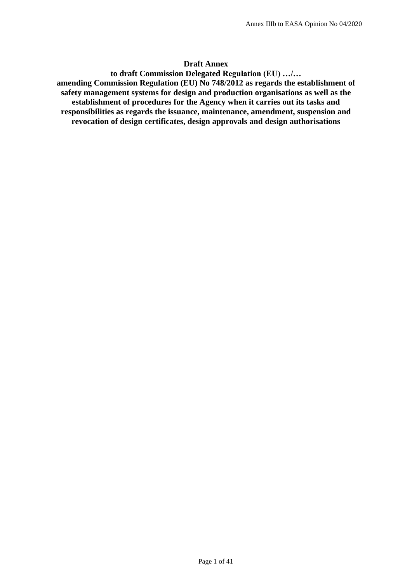#### **Draft Annex**

**to draft Commission Delegated Regulation (EU) …/… amending Commission Regulation (EU) No 748/2012 as regards the establishment of safety management systems for design and production organisations as well as the establishment of procedures for the Agency when it carries out its tasks and responsibilities as regards the issuance, maintenance, amendment, suspension and revocation of design certificates, design approvals and design authorisations**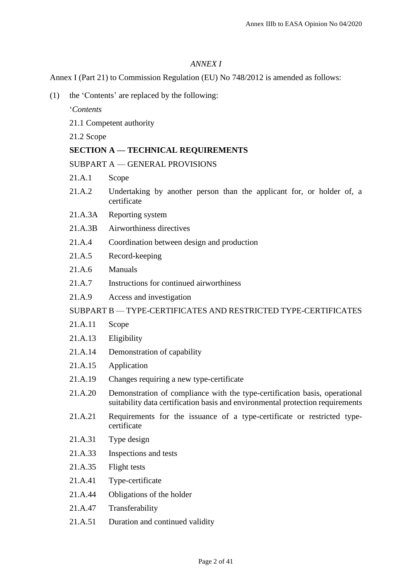## *ANNEX I*

Annex I (Part 21) to Commission Regulation (EU) No 748/2012 is amended as follows:

(1) the 'Contents' are replaced by the following:

'*Contents*

- 21.1 Competent authority
- 21.2 Scope

# **SECTION A — TECHNICAL REQUIREMENTS**

SUBPART A — GENERAL PROVISIONS

- 21.A.1 Scope
- 21.A.2 Undertaking by another person than the applicant for, or holder of, a certificate
- 21.A.3A Reporting system
- 21.A.3B Airworthiness directives
- 21.A.4 Coordination between design and production
- 21.A.5 Record-keeping
- 21.A.6 Manuals
- 21.A.7 Instructions for continued airworthiness
- 21.A.9 Access and investigation

### SUBPART B — TYPE-CERTIFICATES AND RESTRICTED TYPE-CERTIFICATES

- 21.A.11 Scope
- 21.A.13 Eligibility
- 21.A.14 Demonstration of capability
- 21.A.15 Application
- 21.A.19 Changes requiring a new type-certificate
- 21.A.20 Demonstration of compliance with the type-certification basis, operational suitability data certification basis and environmental protection requirements
- 21.A.21 Requirements for the issuance of a type-certificate or restricted typecertificate
- 21.A.31 Type design
- 21.A.33 Inspections and tests
- 21.A.35 Flight tests
- 21.A.41 Type-certificate
- 21.A.44 Obligations of the holder
- 21.A.47 Transferability
- 21.A.51 Duration and continued validity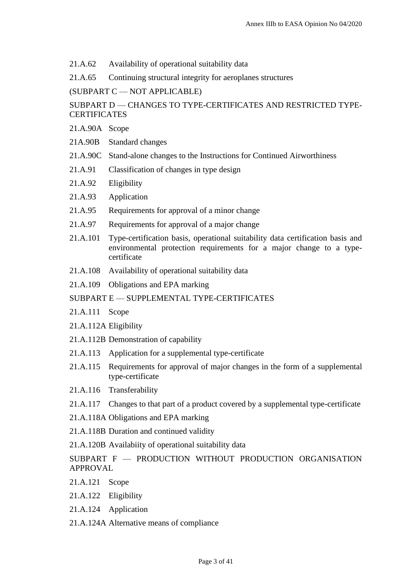21.A.62 Availability of operational suitability data

21.A.65 Continuing structural integrity for aeroplanes structures

(SUBPART C — NOT APPLICABLE)

# SUBPART D — CHANGES TO TYPE-CERTIFICATES AND RESTRICTED TYPE-**CERTIFICATES**

- 21.A.90A Scope
- 21A.90B Standard changes
- 21.A.90C Stand-alone changes to the Instructions for Continued Airworthiness
- 21.A.91 Classification of changes in type design
- 21.A.92 Eligibility
- 21.A.93 Application
- 21.A.95 Requirements for approval of a minor change
- 21.A.97 Requirements for approval of a major change
- 21.A.101 Type-certification basis, operational suitability data certification basis and environmental protection requirements for a major change to a typecertificate
- 21.A.108 Availability of operational suitability data
- 21.A.109 Obligations and EPA marking

## SUBPART E — SUPPLEMENTAL TYPE-CERTIFICATES

- 21.A.111 Scope
- 21.A.112A Eligibility
- 21.A.112B Demonstration of capability
- 21.A.113 Application for a supplemental type-certificate
- 21.A.115 Requirements for approval of major changes in the form of a supplemental type-certificate
- 21.A.116 Transferability
- 21.A.117 Changes to that part of a product covered by a supplemental type-certificate
- 21.A.118A Obligations and EPA marking
- 21.A.118B Duration and continued validity
- 21.A.120B Availabiity of operational suitability data
- SUBPART F PRODUCTION WITHOUT PRODUCTION ORGANISATION APPROVAL
- 21.A.121 Scope
- 21.A.122 Eligibility
- 21.A.124 Application
- 21.A.124A Alternative means of compliance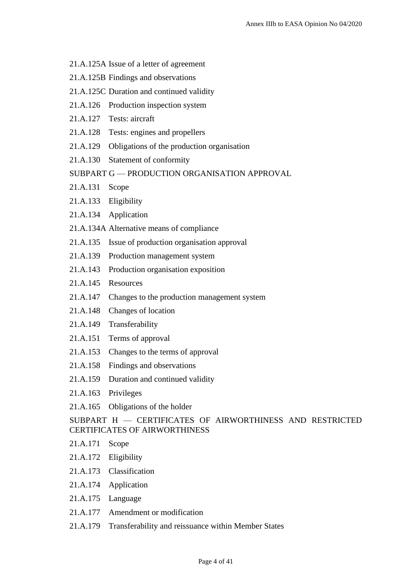- 21.A.125A Issue of a letter of agreement
- 21.A.125B Findings and observations
- 21.A.125C Duration and continued validity
- 21.A.126 Production inspection system
- 21.A.127 Tests: aircraft
- 21.A.128 Tests: engines and propellers
- 21.A.129 Obligations of the production organisation
- 21.A.130 Statement of conformity
- SUBPART G PRODUCTION ORGANISATION APPROVAL
- 21.A.131 Scope
- 21.A.133 Eligibility
- 21.A.134 Application
- 21.A.134A Alternative means of compliance
- 21.A.135 Issue of production organisation approval
- 21.A.139 Production management system
- 21.A.143 Production organisation exposition
- 21.A.145 Resources
- 21.A.147 Changes to the production management system
- 21.A.148 Changes of location
- 21.A.149 Transferability
- 21.A.151 Terms of approval
- 21.A.153 Changes to the terms of approval
- 21.A.158 Findings and observations
- 21.A.159 Duration and continued validity
- 21.A.163 Privileges
- 21.A.165 Obligations of the holder

SUBPART H — CERTIFICATES OF AIRWORTHINESS AND RESTRICTED CERTIFICATES OF AIRWORTHINESS

- 21.A.171 Scope
- 21.A.172 Eligibility
- 21.A.173 Classification
- 21.A.174 Application
- 21.A.175 Language
- 21.A.177 Amendment or modification
- 21.A.179 Transferability and reissuance within Member States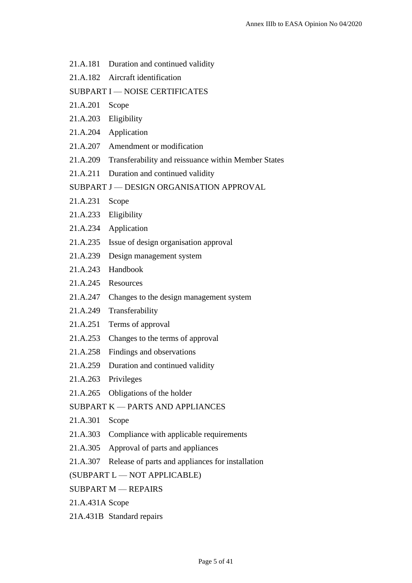- 21.A.181 Duration and continued validity
- 21.A.182 Aircraft identification

### SUBPART I — NOISE CERTIFICATES

- 21.A.201 Scope
- 21.A.203 Eligibility
- 21.A.204 Application
- 21.A.207 Amendment or modification
- 21.A.209 Transferability and reissuance within Member States
- 21.A.211 Duration and continued validity
- SUBPART J DESIGN ORGANISATION APPROVAL
- 21.A.231 Scope
- 21.A.233 Eligibility
- 21.A.234 Application
- 21.A.235 Issue of design organisation approval
- 21.A.239 Design management system
- 21.A.243 Handbook
- 21.A.245 Resources
- 21.A.247 Changes to the design management system
- 21.A.249 Transferability
- 21.A.251 Terms of approval
- 21.A.253 Changes to the terms of approval
- 21.A.258 Findings and observations
- 21.A.259 Duration and continued validity
- 21.A.263 Privileges
- 21.A.265 Obligations of the holder

# SUBPART K — PARTS AND APPLIANCES

- 21.A.301 Scope
- 21.A.303 Compliance with applicable requirements
- 21.A.305 Approval of parts and appliances
- 21.A.307 Release of parts and appliances for installation

(SUBPART L — NOT APPLICABLE)

- SUBPART M REPAIRS
- 21.A.431A Scope
- 21A.431B Standard repairs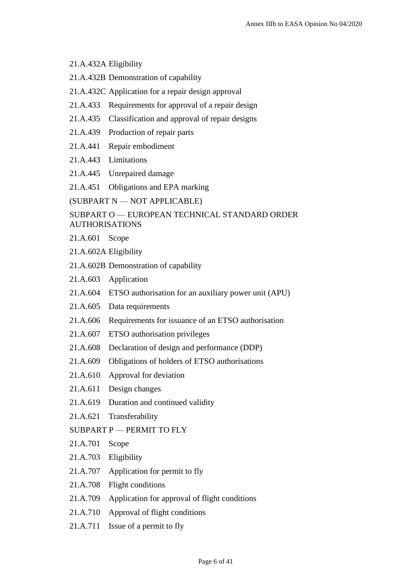### 21.A.432A Eligibility

- 21.A.432B Demonstration of capability
- 21.A.432C Application for a repair design approval
- 21.A.433 Requirements for approval of a repair design
- 21.A.435 Classification and approval of repair designs
- 21.A.439 Production of repair parts
- 21.A.441 Repair embodiment
- 21.A.443 Limitations
- 21.A.445 Unrepaired damage
- 21.A.451 Obligations and EPA marking

(SUBPART N — NOT APPLICABLE)

# SUBPART O — EUROPEAN TECHNICAL STANDARD ORDER AUTHORISATIONS

- 21.A.601 Scope
- 21.A.602A Eligibility
- 21.A.602B Demonstration of capability
- 21.A.603 Application
- 21.A.604 ETSO authorisation for an auxiliary power unit (APU)
- 21.A.605 Data requirements
- 21.A.606 Requirements for issuance of an ETSO authorisation
- 21.A.607 ETSO authorisation privileges
- 21.A.608 Declaration of design and performance (DDP)
- 21.A.609 Obligations of holders of ETSO authorisations
- 21.A.610 Approval for deviation
- 21.A.611 Design changes
- 21.A.619 Duration and continued validity
- 21.A.621 Transferability
- SUBPART P PERMIT TO FLY
- 21.A.701 Scope
- 21.A.703 Eligibility
- 21.A.707 Application for permit to fly
- 21.A.708 Flight conditions
- 21.A.709 Application for approval of flight conditions
- 21.A.710 Approval of flight conditions
- 21.A.711 Issue of a permit to fly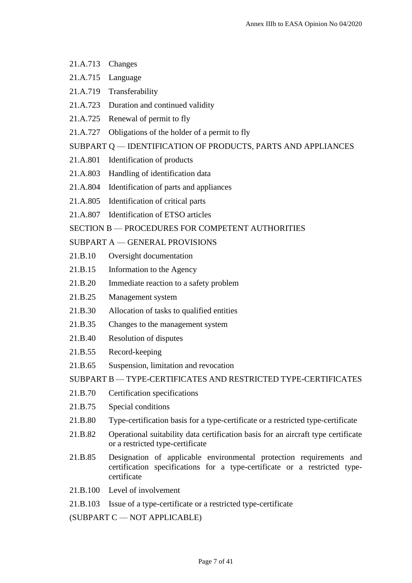- 21.A.713 Changes
- 21.A.715 Language
- 21.A.719 Transferability
- 21.A.723 Duration and continued validity
- 21.A.725 Renewal of permit to fly
- 21.A.727 Obligations of the holder of a permit to fly

### SUBPART Q — IDENTIFICATION OF PRODUCTS, PARTS AND APPLIANCES

- 21.A.801 Identification of products
- 21.A.803 Handling of identification data
- 21.A.804 Identification of parts and appliances
- 21.A.805 Identification of critical parts
- 21.A.807 Identification of ETSO articles

# SECTION B — PROCEDURES FOR COMPETENT AUTHORITIES

# SUBPART A — GENERAL PROVISIONS

- 21.B.10 Oversight documentation
- 21.B.15 Information to the Agency
- 21.B.20 Immediate reaction to a safety problem
- 21.B.25 Management system
- 21.B.30 Allocation of tasks to qualified entities
- 21.B.35 Changes to the management system
- 21.B.40 Resolution of disputes
- 21.B.55 Record-keeping
- 21.B.65 Suspension, limitation and revocation

SUBPART B — TYPE-CERTIFICATES AND RESTRICTED TYPE-CERTIFICATES

- 21.B.70 Certification specifications
- 21.B.75 Special conditions
- 21.B.80 Type-certification basis for a type-certificate or a restricted type-certificate
- 21.B.82 Operational suitability data certification basis for an aircraft type certificate or a restricted type-certificate
- 21.B.85 Designation of applicable environmental protection requirements and certification specifications for a type-certificate or a restricted typecertificate
- 21.B.100 Level of involvement
- 21.B.103 Issue of a type-certificate or a restricted type-certificate

(SUBPART C — NOT APPLICABLE)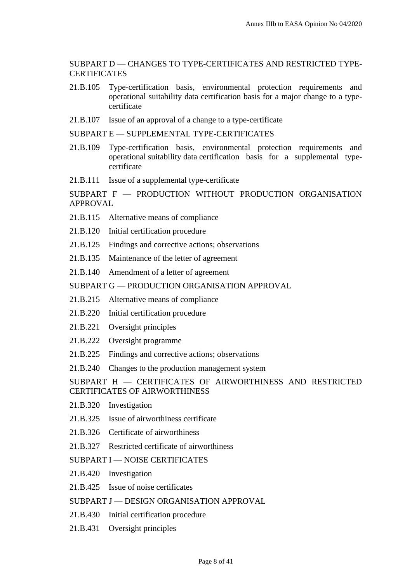SUBPART D — CHANGES TO TYPE-CERTIFICATES AND RESTRICTED TYPE-**CERTIFICATES** 

- 21.B.105 Type-certification basis, environmental protection requirements and operational suitability data certification basis for a major change to a typecertificate
- 21.B.107 Issue of an approval of a change to a type-certificate

SUBPART E — SUPPLEMENTAL TYPE-CERTIFICATES

- 21.B.109 Type-certification basis, environmental protection requirements and operational suitability data certification basis for a supplemental typecertificate
- 21.B.111 Issue of a supplemental type-certificate

SUBPART F — PRODUCTION WITHOUT PRODUCTION ORGANISATION APPROVAL

- 21.B.115 Alternative means of compliance
- 21.B.120 Initial certification procedure
- 21.B.125 Findings and corrective actions; observations
- 21.B.135 Maintenance of the letter of agreement
- 21.B.140 Amendment of a letter of agreement

SUBPART G — PRODUCTION ORGANISATION APPROVAL

- 21.B.215 Alternative means of compliance
- 21.B.220 Initial certification procedure
- 21.B.221 Oversight principles
- 21.B.222 Oversight programme
- 21.B.225 Findings and corrective actions; observations
- 21.B.240 Changes to the production management system

SUBPART H — CERTIFICATES OF AIRWORTHINESS AND RESTRICTED CERTIFICATES OF AIRWORTHINESS

- 21.B.320 Investigation
- 21.B.325 Issue of airworthiness certificate
- 21.B.326 Certificate of airworthiness
- 21.B.327 Restricted certificate of airworthiness

SUBPART I — NOISE CERTIFICATES

- 21.B.420 Investigation
- 21.B.425 Issue of noise certificates
- SUBPART J DESIGN ORGANISATION APPROVAL
- 21.B.430 Initial certification procedure
- 21.B.431 Oversight principles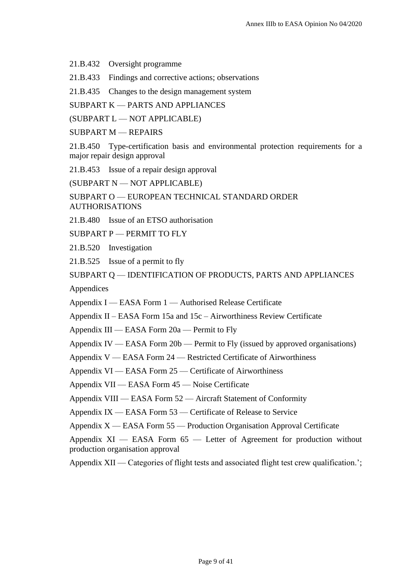21.B.432 Oversight programme

21.B.433 Findings and corrective actions; observations

21.B.435 Changes to the design management system

SUBPART K — PARTS AND APPLIANCES

(SUBPART L — NOT APPLICABLE)

SUBPART M — REPAIRS

21.B.450 Type-certification basis and environmental protection requirements for a major repair design approval

21.B.453 Issue of a repair design approval

(SUBPART N — NOT APPLICABLE)

SUBPART O — EUROPEAN TECHNICAL STANDARD ORDER AUTHORISATIONS

21.B.480 Issue of an ETSO authorisation

SUBPART P — PERMIT TO FLY

21.B.520 Investigation

21.B.525 Issue of a permit to fly

SUBPART Q — IDENTIFICATION OF PRODUCTS, PARTS AND APPLIANCES

Appendices

Appendix I — EASA Form 1 — Authorised Release Certificate

Appendix II – EASA Form 15a and 15c – Airworthiness Review Certificate

Appendix III — EASA Form 20a — Permit to Fly

Appendix IV — EASA Form 20b — Permit to Fly (issued by approved organisations)

Appendix V — EASA Form 24 — Restricted Certificate of Airworthiness

Appendix VI — EASA Form 25 — Certificate of Airworthiness

Appendix VII — EASA Form 45 — Noise Certificate

Appendix VIII — EASA Form 52 — Aircraft Statement of Conformity

Appendix IX — EASA Form 53 — Certificate of Release to Service

Appendix X — EASA Form 55 — Production Organisation Approval Certificate

Appendix  $XI$  — EASA Form  $65$  — Letter of Agreement for production without production organisation approval

Appendix XII — Categories of flight tests and associated flight test crew qualification.';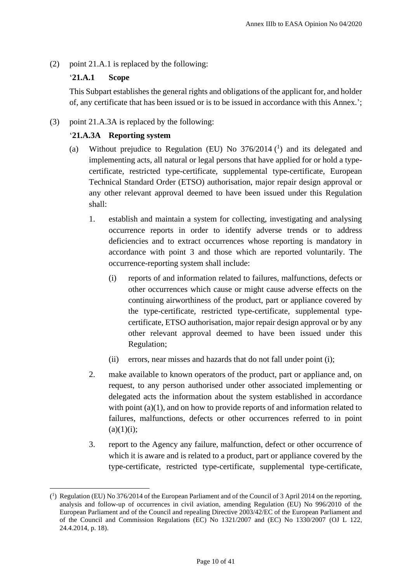(2) point 21.A.1 is replaced by the following:

# '**21.A.1 Scope**

This Subpart establishes the general rights and obligations of the applicant for, and holder of, any certificate that has been issued or is to be issued in accordance with this Annex.';

(3) point 21.A.3A is replaced by the following:

# '**21.A.3A Reporting system**

- (a) Without prejudice to Regulation (EU) No  $376/2014$  (<sup>1</sup>) and its delegated and implementing acts, all natural or legal persons that have applied for or hold a typecertificate, restricted type-certificate, supplemental type-certificate, European Technical Standard Order (ETSO) authorisation, major repair design approval or any other relevant approval deemed to have been issued under this Regulation shall:
	- 1. establish and maintain a system for collecting, investigating and analysing occurrence reports in order to identify adverse trends or to address deficiencies and to extract occurrences whose reporting is mandatory in accordance with point 3 and those which are reported voluntarily. The occurrence-reporting system shall include:
		- (i) reports of and information related to failures, malfunctions, defects or other occurrences which cause or might cause adverse effects on the continuing airworthiness of the product, part or appliance covered by the type-certificate, restricted type-certificate, supplemental typecertificate, ETSO authorisation, major repair design approval or by any other relevant approval deemed to have been issued under this Regulation;
		- (ii) errors, near misses and hazards that do not fall under point (i);
	- 2. make available to known operators of the product, part or appliance and, on request, to any person authorised under other associated implementing or delegated acts the information about the system established in accordance with point (a)(1), and on how to provide reports of and information related to failures, malfunctions, defects or other occurrences referred to in point  $(a)(1)(i);$
	- 3. report to the Agency any failure, malfunction, defect or other occurrence of which it is aware and is related to a product, part or appliance covered by the type-certificate, restricted type-certificate, supplemental type-certificate,

<sup>(</sup> 1 ) Regulation (EU) No 376/2014 of the European Parliament and of the Council of 3 April 2014 on the reporting, analysis and follow-up of occurrences in civil aviation, amending Regulation (EU) No 996/2010 of the European Parliament and of the Council and repealing Directive 2003/42/EC of the European Parliament and of the Council and Commission Regulations (EC) No 1321/2007 and (EC) No 1330/2007 (OJ L 122, 24.4.2014, p. 18).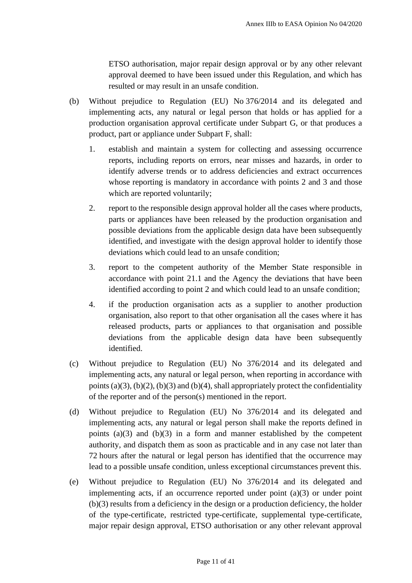ETSO authorisation, major repair design approval or by any other relevant approval deemed to have been issued under this Regulation, and which has resulted or may result in an unsafe condition.

- (b) Without prejudice to Regulation (EU) No 376/2014 and its delegated and implementing acts, any natural or legal person that holds or has applied for a production organisation approval certificate under Subpart G, or that produces a product, part or appliance under Subpart F, shall:
	- 1. establish and maintain a system for collecting and assessing occurrence reports, including reports on errors, near misses and hazards, in order to identify adverse trends or to address deficiencies and extract occurrences whose reporting is mandatory in accordance with points 2 and 3 and those which are reported voluntarily;
	- 2. report to the responsible design approval holder all the cases where products, parts or appliances have been released by the production organisation and possible deviations from the applicable design data have been subsequently identified, and investigate with the design approval holder to identify those deviations which could lead to an unsafe condition;
	- 3. report to the competent authority of the Member State responsible in accordance with point 21.1 and the Agency the deviations that have been identified according to point 2 and which could lead to an unsafe condition;
	- 4. if the production organisation acts as a supplier to another production organisation, also report to that other organisation all the cases where it has released products, parts or appliances to that organisation and possible deviations from the applicable design data have been subsequently identified.
- (c) Without prejudice to Regulation (EU) No 376/2014 and its delegated and implementing acts, any natural or legal person, when reporting in accordance with points (a)(3), (b)(2), (b)(3) and (b)(4), shall appropriately protect the confidentiality of the reporter and of the person(s) mentioned in the report.
- (d) Without prejudice to Regulation (EU) No 376/2014 and its delegated and implementing acts, any natural or legal person shall make the reports defined in points  $(a)(3)$  and  $(b)(3)$  in a form and manner established by the competent authority, and dispatch them as soon as practicable and in any case not later than 72 hours after the natural or legal person has identified that the occurrence may lead to a possible unsafe condition, unless exceptional circumstances prevent this.
- (e) Without prejudice to Regulation (EU) No 376/2014 and its delegated and implementing acts, if an occurrence reported under point (a)(3) or under point (b)(3) results from a deficiency in the design or a production deficiency, the holder of the type-certificate, restricted type-certificate, supplemental type-certificate, major repair design approval, ETSO authorisation or any other relevant approval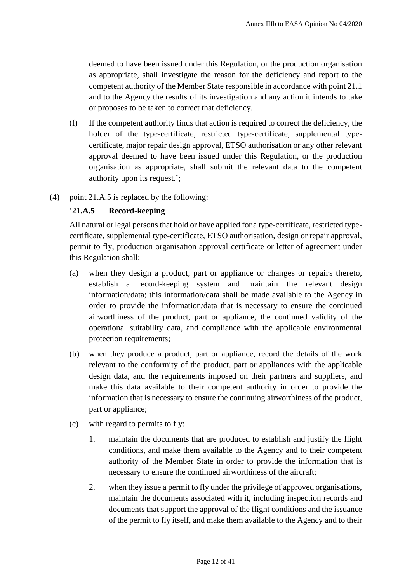deemed to have been issued under this Regulation, or the production organisation as appropriate, shall investigate the reason for the deficiency and report to the competent authority of the Member State responsible in accordance with point 21.1 and to the Agency the results of its investigation and any action it intends to take or proposes to be taken to correct that deficiency.

- (f) If the competent authority finds that action is required to correct the deficiency, the holder of the type-certificate, restricted type-certificate, supplemental typecertificate, major repair design approval, ETSO authorisation or any other relevant approval deemed to have been issued under this Regulation, or the production organisation as appropriate, shall submit the relevant data to the competent authority upon its request.';
- (4) point 21.A.5 is replaced by the following:

# '**21.A.5 Record-keeping**

All natural or legal persons that hold or have applied for a type-certificate, restricted typecertificate, supplemental type-certificate, ETSO authorisation, design or repair approval, permit to fly, production organisation approval certificate or letter of agreement under this Regulation shall:

- (a) when they design a product, part or appliance or changes or repairs thereto, establish a record-keeping system and maintain the relevant design information/data; this information/data shall be made available to the Agency in order to provide the information/data that is necessary to ensure the continued airworthiness of the product, part or appliance, the continued validity of the operational suitability data, and compliance with the applicable environmental protection requirements;
- (b) when they produce a product, part or appliance, record the details of the work relevant to the conformity of the product, part or appliances with the applicable design data, and the requirements imposed on their partners and suppliers, and make this data available to their competent authority in order to provide the information that is necessary to ensure the continuing airworthiness of the product, part or appliance;
- (c) with regard to permits to fly:
	- 1. maintain the documents that are produced to establish and justify the flight conditions, and make them available to the Agency and to their competent authority of the Member State in order to provide the information that is necessary to ensure the continued airworthiness of the aircraft;
	- 2. when they issue a permit to fly under the privilege of approved organisations, maintain the documents associated with it, including inspection records and documents that support the approval of the flight conditions and the issuance of the permit to fly itself, and make them available to the Agency and to their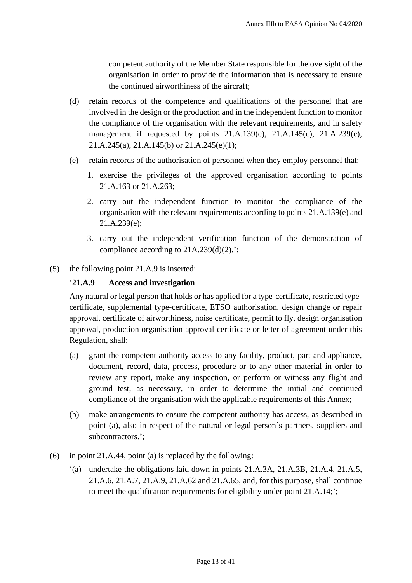competent authority of the Member State responsible for the oversight of the organisation in order to provide the information that is necessary to ensure the continued airworthiness of the aircraft;

- (d) retain records of the competence and qualifications of the personnel that are involved in the design or the production and in the independent function to monitor the compliance of the organisation with the relevant requirements, and in safety management if requested by points 21.A.139(c), 21.A.145(c), 21.A.239(c), 21.A.245(a), 21.A.145(b) or 21.A.245(e)(1);
- (e) retain records of the authorisation of personnel when they employ personnel that:
	- 1. exercise the privileges of the approved organisation according to points 21.A.163 or 21.A.263;
	- 2. carry out the independent function to monitor the compliance of the organisation with the relevant requirements according to points 21.A.139(e) and 21.A.239(e);
	- 3. carry out the independent verification function of the demonstration of compliance according to 21A.239(d)(2).';
- (5) the following point 21.A.9 is inserted:

# '**21.A.9 Access and investigation**

Any natural or legal person that holds or has applied for a type-certificate, restricted typecertificate, supplemental type-certificate, ETSO authorisation, design change or repair approval, certificate of airworthiness, noise certificate, permit to fly, design organisation approval, production organisation approval certificate or letter of agreement under this Regulation, shall:

- (a) grant the competent authority access to any facility, product, part and appliance, document, record, data, process, procedure or to any other material in order to review any report, make any inspection, or perform or witness any flight and ground test, as necessary, in order to determine the initial and continued compliance of the organisation with the applicable requirements of this Annex;
- (b) make arrangements to ensure the competent authority has access, as described in point (a), also in respect of the natural or legal person's partners, suppliers and subcontractors.';
- (6) in point 21.A.44, point (a) is replaced by the following:
	- '(a) undertake the obligations laid down in points 21.A.3A, 21.A.3B, 21.A.4, 21.A.5, 21.A.6, 21.A.7, 21.A.9, 21.A.62 and 21.A.65, and, for this purpose, shall continue to meet the qualification requirements for eligibility under point 21.A.14;';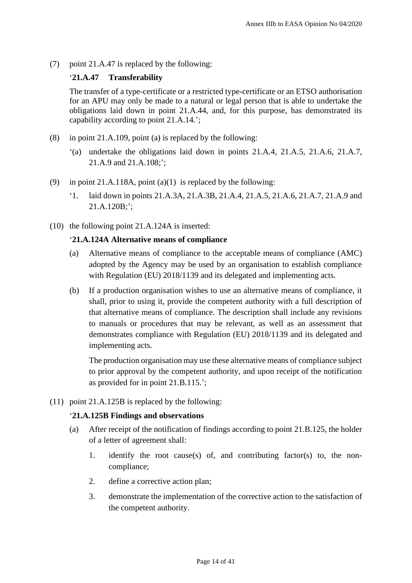(7) point 21.A.47 is replaced by the following:

# '**21.A.47 Transferability**

The transfer of a type-certificate or a restricted type-certificate or an ETSO authorisation for an APU may only be made to a natural or legal person that is able to undertake the obligations laid down in point 21.A.44, and, for this purpose, has demonstrated its capability according to point 21.A.14.';

- (8) in point 21.A.109, point (a) is replaced by the following:
	- '(a) undertake the obligations laid down in points 21.A.4, 21.A.5, 21.A.6, 21.A.7, 21.A.9 and 21.A.108;';
- (9) in point 21.A.118A, point (a)(1) is replaced by the following:
	- '1. laid down in points 21.A.3A, 21.A.3B, 21.A.4, 21.A.5, 21.A.6, 21.A.7, 21.A.9 and 21.A.120B;';
- (10) the following point 21.A.124A is inserted:

# '**21.A.124A Alternative means of compliance**

- (a) Alternative means of compliance to the acceptable means of compliance (AMC) adopted by the Agency may be used by an organisation to establish compliance with Regulation (EU) 2018/1139 and its delegated and implementing acts.
- (b) If a production organisation wishes to use an alternative means of compliance, it shall, prior to using it, provide the competent authority with a full description of that alternative means of compliance. The description shall include any revisions to manuals or procedures that may be relevant, as well as an assessment that demonstrates compliance with Regulation (EU) 2018/1139 and its delegated and implementing acts.

The production organisation may use these alternative means of compliance subject to prior approval by the competent authority, and upon receipt of the notification as provided for in point 21.B.115.';

(11) point 21.A.125B is replaced by the following:

### '**21.A.125B Findings and observations**

- (a) After receipt of the notification of findings according to point 21.B.125, the holder of a letter of agreement shall:
	- 1. identify the root cause(s) of, and contributing factor(s) to, the noncompliance;
	- 2. define a corrective action plan;
	- 3. demonstrate the implementation of the corrective action to the satisfaction of the competent authority.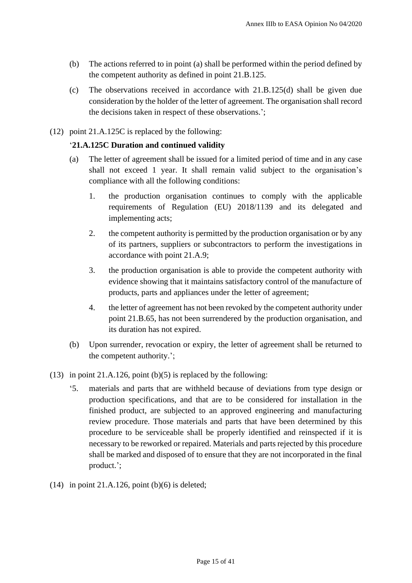- (b) The actions referred to in point (a) shall be performed within the period defined by the competent authority as defined in point 21.B.125.
- (c) The observations received in accordance with 21.B.125(d) shall be given due consideration by the holder of the letter of agreement. The organisation shall record the decisions taken in respect of these observations.';
- (12) point 21.A.125C is replaced by the following:

# '**21.A.125C Duration and continued validity**

- (a) The letter of agreement shall be issued for a limited period of time and in any case shall not exceed 1 year. It shall remain valid subject to the organisation's compliance with all the following conditions:
	- 1. the production organisation continues to comply with the applicable requirements of Regulation (EU) 2018/1139 and its delegated and implementing acts;
	- 2. the competent authority is permitted by the production organisation or by any of its partners, suppliers or subcontractors to perform the investigations in accordance with point 21.A.9;
	- 3. the production organisation is able to provide the competent authority with evidence showing that it maintains satisfactory control of the manufacture of products, parts and appliances under the letter of agreement;
	- 4. the letter of agreement has not been revoked by the competent authority under point 21.B.65, has not been surrendered by the production organisation, and its duration has not expired.
- (b) Upon surrender, revocation or expiry, the letter of agreement shall be returned to the competent authority.';
- (13) in point 21.A.126, point  $(b)(5)$  is replaced by the following:
	- '5. materials and parts that are withheld because of deviations from type design or production specifications, and that are to be considered for installation in the finished product, are subjected to an approved engineering and manufacturing review procedure. Those materials and parts that have been determined by this procedure to be serviceable shall be properly identified and reinspected if it is necessary to be reworked or repaired. Materials and parts rejected by this procedure shall be marked and disposed of to ensure that they are not incorporated in the final product.';
- $(14)$  in point 21.A.126, point  $(b)(6)$  is deleted;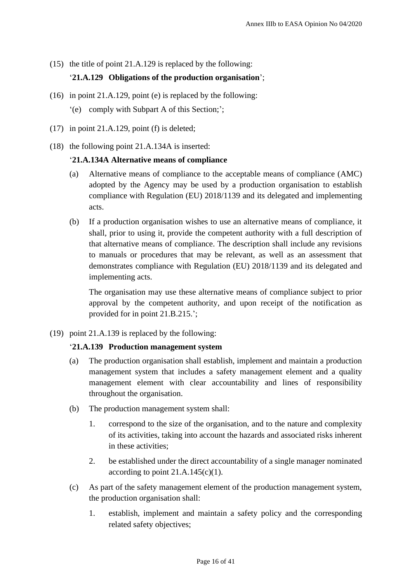(15) the title of point 21.A.129 is replaced by the following:

# '**21.A.129 Obligations of the production organisation**';

- (16) in point 21.A.129, point (e) is replaced by the following:
	- '(e) comply with Subpart A of this Section;';
- (17) in point 21.A.129, point (f) is deleted;
- (18) the following point 21.A.134A is inserted:

# '**21.A.134A Alternative means of compliance**

- (a) Alternative means of compliance to the acceptable means of compliance (AMC) adopted by the Agency may be used by a production organisation to establish compliance with Regulation (EU) 2018/1139 and its delegated and implementing acts.
- (b) If a production organisation wishes to use an alternative means of compliance, it shall, prior to using it, provide the competent authority with a full description of that alternative means of compliance. The description shall include any revisions to manuals or procedures that may be relevant, as well as an assessment that demonstrates compliance with Regulation (EU) 2018/1139 and its delegated and implementing acts.

The organisation may use these alternative means of compliance subject to prior approval by the competent authority, and upon receipt of the notification as provided for in point 21.B.215.';

(19) point 21.A.139 is replaced by the following:

# '**21.A.139 Production management system**

- (a) The production organisation shall establish, implement and maintain a production management system that includes a safety management element and a quality management element with clear accountability and lines of responsibility throughout the organisation.
- (b) The production management system shall:
	- 1. correspond to the size of the organisation, and to the nature and complexity of its activities, taking into account the hazards and associated risks inherent in these activities;
	- 2. be established under the direct accountability of a single manager nominated according to point  $21.A.145(c)(1)$ .
- (c) As part of the safety management element of the production management system, the production organisation shall:
	- 1. establish, implement and maintain a safety policy and the corresponding related safety objectives;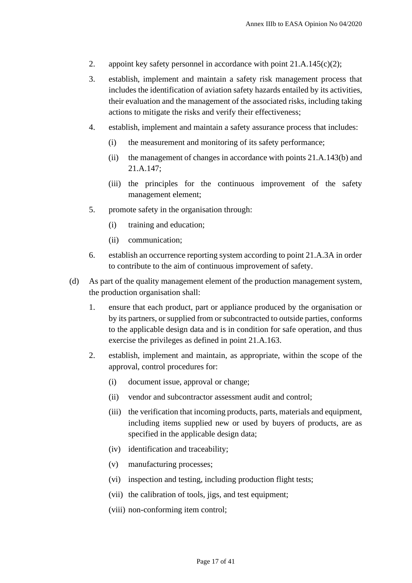- 2. appoint key safety personnel in accordance with point 21.A.145(c)(2);
- 3. establish, implement and maintain a safety risk management process that includes the identification of aviation safety hazards entailed by its activities, their evaluation and the management of the associated risks, including taking actions to mitigate the risks and verify their effectiveness;
- 4. establish, implement and maintain a safety assurance process that includes:
	- (i) the measurement and monitoring of its safety performance;
	- (ii) the management of changes in accordance with points 21.A.143(b) and 21.A.147;
	- (iii) the principles for the continuous improvement of the safety management element;
- 5. promote safety in the organisation through:
	- (i) training and education;
	- (ii) communication;
- 6. establish an occurrence reporting system according to point 21.A.3A in order to contribute to the aim of continuous improvement of safety.
- (d) As part of the quality management element of the production management system, the production organisation shall:
	- 1. ensure that each product, part or appliance produced by the organisation or by its partners, or supplied from or subcontracted to outside parties, conforms to the applicable design data and is in condition for safe operation, and thus exercise the privileges as defined in point 21.A.163.
	- 2. establish, implement and maintain, as appropriate, within the scope of the approval, control procedures for:
		- (i) document issue, approval or change;
		- (ii) vendor and subcontractor assessment audit and control;
		- (iii) the verification that incoming products, parts, materials and equipment, including items supplied new or used by buyers of products, are as specified in the applicable design data;
		- (iv) identification and traceability;
		- (v) manufacturing processes;
		- (vi) inspection and testing, including production flight tests;
		- (vii) the calibration of tools, jigs, and test equipment;
		- (viii) non-conforming item control;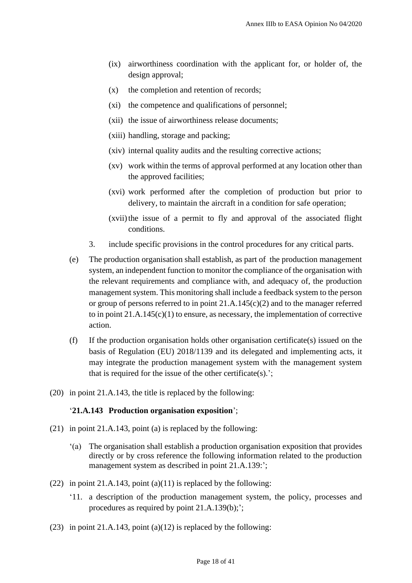- (ix) airworthiness coordination with the applicant for, or holder of, the design approval;
- (x) the completion and retention of records;
- (xi) the competence and qualifications of personnel;
- (xii) the issue of airworthiness release documents;
- (xiii) handling, storage and packing;
- (xiv) internal quality audits and the resulting corrective actions;
- (xv) work within the terms of approval performed at any location other than the approved facilities;
- (xvi) work performed after the completion of production but prior to delivery, to maintain the aircraft in a condition for safe operation;
- (xvii) the issue of a permit to fly and approval of the associated flight conditions.
- 3. include specific provisions in the control procedures for any critical parts.
- (e) The production organisation shall establish, as part of the production management system, an independent function to monitor the compliance of the organisation with the relevant requirements and compliance with, and adequacy of, the production management system. This monitoring shall include a feedback system to the person or group of persons referred to in point 21.A.145(c)(2) and to the manager referred to in point 21.A.145(c)(1) to ensure, as necessary, the implementation of corrective action.
- (f) If the production organisation holds other organisation certificate(s) issued on the basis of Regulation (EU) 2018/1139 and its delegated and implementing acts, it may integrate the production management system with the management system that is required for the issue of the other certificate(s).';
- (20) in point 21.A.143, the title is replaced by the following:

#### '**21.A.143 Production organisation exposition**';

- (21) in point 21.A.143, point (a) is replaced by the following:
	- '(a) The organisation shall establish a production organisation exposition that provides directly or by cross reference the following information related to the production management system as described in point 21.A.139:';
- (22) in point 21.A.143, point  $(a)(11)$  is replaced by the following:
	- '11. a description of the production management system, the policy, processes and procedures as required by point 21.A.139(b);';
- (23) in point 21.A.143, point (a)(12) is replaced by the following: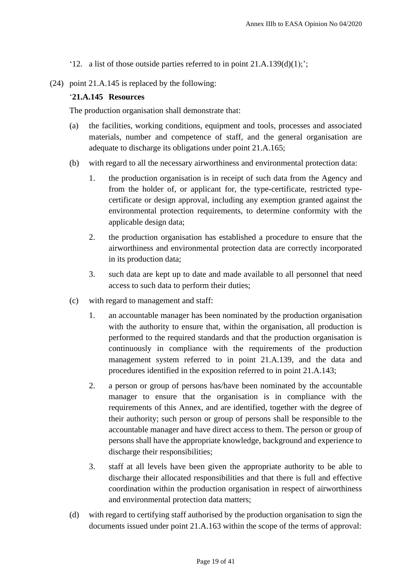- '12. a list of those outside parties referred to in point  $21.A.139(d)(1);$ ';
- (24) point 21.A.145 is replaced by the following:

### '**21.A.145 Resources**

The production organisation shall demonstrate that:

- (a) the facilities, working conditions, equipment and tools, processes and associated materials, number and competence of staff, and the general organisation are adequate to discharge its obligations under point 21.A.165;
- (b) with regard to all the necessary airworthiness and environmental protection data:
	- 1. the production organisation is in receipt of such data from the Agency and from the holder of, or applicant for, the type-certificate, restricted typecertificate or design approval, including any exemption granted against the environmental protection requirements, to determine conformity with the applicable design data;
	- 2. the production organisation has established a procedure to ensure that the airworthiness and environmental protection data are correctly incorporated in its production data;
	- 3. such data are kept up to date and made available to all personnel that need access to such data to perform their duties;
- (c) with regard to management and staff:
	- 1. an accountable manager has been nominated by the production organisation with the authority to ensure that, within the organisation, all production is performed to the required standards and that the production organisation is continuously in compliance with the requirements of the production management system referred to in point 21.A.139, and the data and procedures identified in the exposition referred to in point 21.A.143;
	- 2. a person or group of persons has/have been nominated by the accountable manager to ensure that the organisation is in compliance with the requirements of this Annex, and are identified, together with the degree of their authority; such person or group of persons shall be responsible to the accountable manager and have direct access to them. The person or group of persons shall have the appropriate knowledge, background and experience to discharge their responsibilities;
	- 3. staff at all levels have been given the appropriate authority to be able to discharge their allocated responsibilities and that there is full and effective coordination within the production organisation in respect of airworthiness and environmental protection data matters;
- (d) with regard to certifying staff authorised by the production organisation to sign the documents issued under point 21.A.163 within the scope of the terms of approval: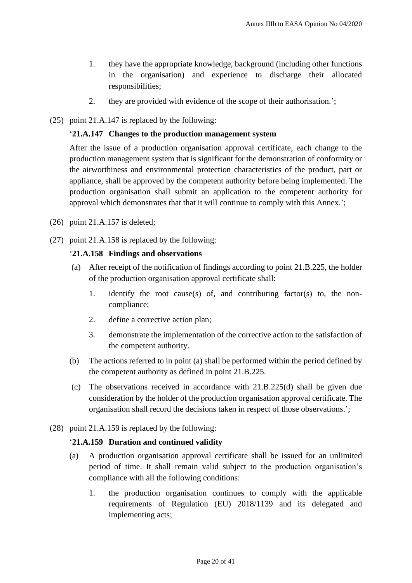- 1. they have the appropriate knowledge, background (including other functions in the organisation) and experience to discharge their allocated responsibilities;
- 2. they are provided with evidence of the scope of their authorisation.';
- (25) point 21.A.147 is replaced by the following:

# '**21.A.147 Changes to the production management system**

After the issue of a production organisation approval certificate, each change to the production management system that is significant for the demonstration of conformity or the airworthiness and environmental protection characteristics of the product, part or appliance, shall be approved by the competent authority before being implemented. The production organisation shall submit an application to the competent authority for approval which demonstrates that that it will continue to comply with this Annex.';

- (26) point 21.A.157 is deleted;
- (27) point 21.A.158 is replaced by the following:

# '**21.A.158 Findings and observations**

- (a) After receipt of the notification of findings according to point 21.B.225, the holder of the production organisation approval certificate shall:
	- 1. identify the root cause(s) of, and contributing factor(s) to, the noncompliance;
	- 2. define a corrective action plan;
	- 3. demonstrate the implementation of the corrective action to the satisfaction of the competent authority.
- (b) The actions referred to in point (a) shall be performed within the period defined by the competent authority as defined in point 21.B.225.
- (c) The observations received in accordance with 21.B.225(d) shall be given due consideration by the holder of the production organisation approval certificate. The organisation shall record the decisions taken in respect of those observations.';
- (28) point 21.A.159 is replaced by the following:

### '**21.A.159 Duration and continued validity**

- (a) A production organisation approval certificate shall be issued for an unlimited period of time. It shall remain valid subject to the production organisation's compliance with all the following conditions:
	- 1. the production organisation continues to comply with the applicable requirements of Regulation (EU) 2018/1139 and its delegated and implementing acts;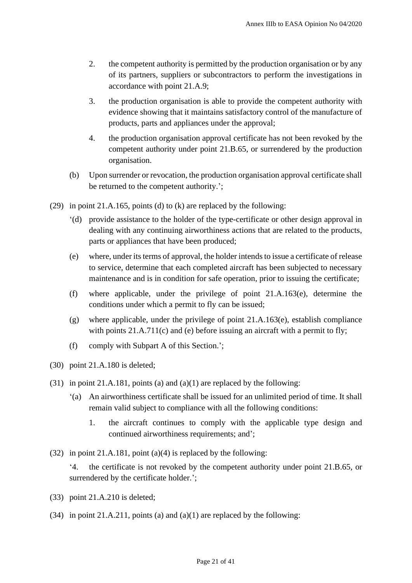- 2. the competent authority is permitted by the production organisation or by any of its partners, suppliers or subcontractors to perform the investigations in accordance with point 21.A.9;
- 3. the production organisation is able to provide the competent authority with evidence showing that it maintains satisfactory control of the manufacture of products, parts and appliances under the approval;
- 4. the production organisation approval certificate has not been revoked by the competent authority under point 21.B.65, or surrendered by the production organisation.
- (b) Upon surrender or revocation, the production organisation approval certificate shall be returned to the competent authority.';
- (29) in point 21.A.165, points (d) to (k) are replaced by the following:
	- '(d) provide assistance to the holder of the type-certificate or other design approval in dealing with any continuing airworthiness actions that are related to the products, parts or appliances that have been produced;
	- (e) where, under its terms of approval, the holder intendsto issue a certificate of release to service, determine that each completed aircraft has been subjected to necessary maintenance and is in condition for safe operation, prior to issuing the certificate;
	- (f) where applicable, under the privilege of point 21.A.163(e), determine the conditions under which a permit to fly can be issued;
	- (g) where applicable, under the privilege of point 21.A.163(e), establish compliance with points 21.A.711(c) and (e) before issuing an aircraft with a permit to fly;
	- (f) comply with Subpart A of this Section.';
- (30) point 21.A.180 is deleted;
- (31) in point 21.A.181, points (a) and (a)(1) are replaced by the following:
	- '(a) An airworthiness certificate shall be issued for an unlimited period of time. It shall remain valid subject to compliance with all the following conditions:
		- 1. the aircraft continues to comply with the applicable type design and continued airworthiness requirements; and';
- (32) in point 21.A.181, point (a)(4) is replaced by the following:
	- '4. the certificate is not revoked by the competent authority under point 21.B.65, or surrendered by the certificate holder.';
- (33) point 21.A.210 is deleted;
- (34) in point 21.A.211, points (a) and (a)(1) are replaced by the following: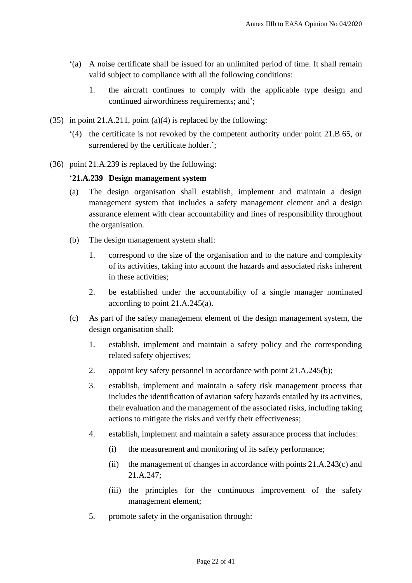- '(a) A noise certificate shall be issued for an unlimited period of time. It shall remain valid subject to compliance with all the following conditions:
	- 1. the aircraft continues to comply with the applicable type design and continued airworthiness requirements; and';
- (35) in point 21.A.211, point (a)(4) is replaced by the following:
	- '(4) the certificate is not revoked by the competent authority under point 21.B.65, or surrendered by the certificate holder.';
- (36) point 21.A.239 is replaced by the following:

# '**21.A.239 Design management system**

- (a) The design organisation shall establish, implement and maintain a design management system that includes a safety management element and a design assurance element with clear accountability and lines of responsibility throughout the organisation.
- (b) The design management system shall:
	- 1. correspond to the size of the organisation and to the nature and complexity of its activities, taking into account the hazards and associated risks inherent in these activities;
	- 2. be established under the accountability of a single manager nominated according to point 21.A.245(a).
- (c) As part of the safety management element of the design management system, the design organisation shall:
	- 1. establish, implement and maintain a safety policy and the corresponding related safety objectives;
	- 2. appoint key safety personnel in accordance with point 21.A.245(b);
	- 3. establish, implement and maintain a safety risk management process that includes the identification of aviation safety hazards entailed by its activities, their evaluation and the management of the associated risks, including taking actions to mitigate the risks and verify their effectiveness;
	- 4. establish, implement and maintain a safety assurance process that includes:
		- (i) the measurement and monitoring of its safety performance;
		- (ii) the management of changes in accordance with points 21.A.243(c) and 21.A.247;
		- (iii) the principles for the continuous improvement of the safety management element;
	- 5. promote safety in the organisation through: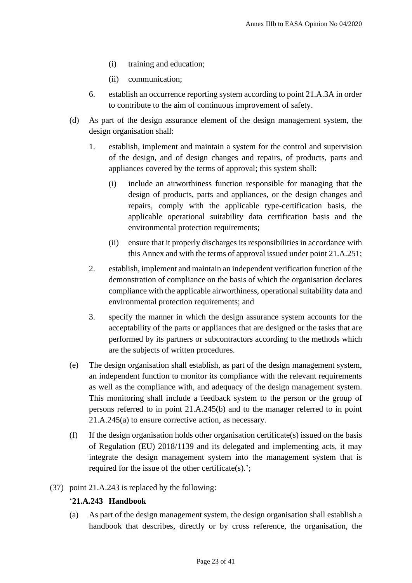- (i) training and education;
- (ii) communication;
- 6. establish an occurrence reporting system according to point 21.A.3A in order to contribute to the aim of continuous improvement of safety.
- (d) As part of the design assurance element of the design management system, the design organisation shall:
	- 1. establish, implement and maintain a system for the control and supervision of the design, and of design changes and repairs, of products, parts and appliances covered by the terms of approval; this system shall:
		- (i) include an airworthiness function responsible for managing that the design of products, parts and appliances, or the design changes and repairs, comply with the applicable type-certification basis, the applicable operational suitability data certification basis and the environmental protection requirements;
		- (ii) ensure that it properly discharges its responsibilities in accordance with this Annex and with the terms of approval issued under point 21.A.251;
	- 2. establish, implement and maintain an independent verification function of the demonstration of compliance on the basis of which the organisation declares compliance with the applicable airworthiness, operational suitability data and environmental protection requirements; and
	- 3. specify the manner in which the design assurance system accounts for the acceptability of the parts or appliances that are designed or the tasks that are performed by its partners or subcontractors according to the methods which are the subjects of written procedures.
- (e) The design organisation shall establish, as part of the design management system, an independent function to monitor its compliance with the relevant requirements as well as the compliance with, and adequacy of the design management system. This monitoring shall include a feedback system to the person or the group of persons referred to in point 21.A.245(b) and to the manager referred to in point 21.A.245(a) to ensure corrective action, as necessary.
- (f) If the design organisation holds other organisation certificate(s) issued on the basis of Regulation (EU) 2018/1139 and its delegated and implementing acts, it may integrate the design management system into the management system that is required for the issue of the other certificate(s).';
- (37) point 21.A.243 is replaced by the following:

# '**21.A.243 Handbook**

(a) As part of the design management system, the design organisation shall establish a handbook that describes, directly or by cross reference, the organisation, the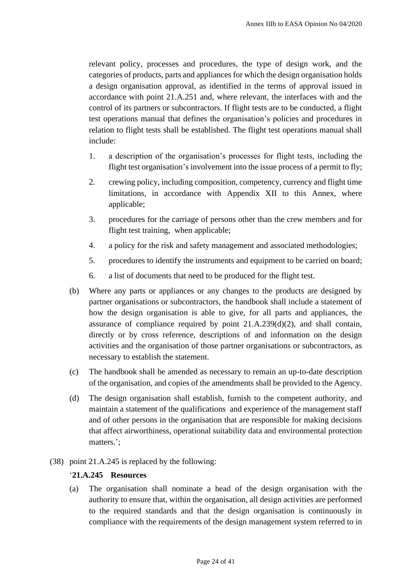relevant policy, processes and procedures, the type of design work, and the categories of products, parts and appliances for which the design organisation holds a design organisation approval, as identified in the terms of approval issued in accordance with point 21.A.251 and, where relevant, the interfaces with and the control of its partners or subcontractors. If flight tests are to be conducted, a flight test operations manual that defines the organisation's policies and procedures in relation to flight tests shall be established. The flight test operations manual shall include:

- 1. a description of the organisation's processes for flight tests, including the flight test organisation's involvement into the issue process of a permit to fly;
- 2. crewing policy, including composition, competency, currency and flight time limitations, in accordance with Appendix XII to this Annex, where applicable;
- 3. procedures for the carriage of persons other than the crew members and for flight test training, when applicable;
- 4. a policy for the risk and safety management and associated methodologies;
- 5. procedures to identify the instruments and equipment to be carried on board;
- 6. a list of documents that need to be produced for the flight test.
- (b) Where any parts or appliances or any changes to the products are designed by partner organisations or subcontractors, the handbook shall include a statement of how the design organisation is able to give, for all parts and appliances, the assurance of compliance required by point  $21.A.239(d)(2)$ , and shall contain, directly or by cross reference, descriptions of and information on the design activities and the organisation of those partner organisations or subcontractors, as necessary to establish the statement.
- (c) The handbook shall be amended as necessary to remain an up-to-date description of the organisation, and copies of the amendments shall be provided to the Agency.
- (d) The design organisation shall establish, furnish to the competent authority, and maintain a statement of the qualifications and experience of the management staff and of other persons in the organisation that are responsible for making decisions that affect airworthiness, operational suitability data and environmental protection matters.';
- (38) point 21.A.245 is replaced by the following:

## '**21.A.245 Resources**

(a) The organisation shall nominate a head of the design organisation with the authority to ensure that, within the organisation, all design activities are performed to the required standards and that the design organisation is continuously in compliance with the requirements of the design management system referred to in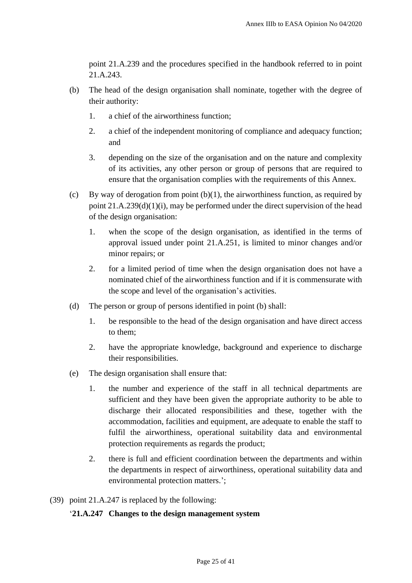point 21.A.239 and the procedures specified in the handbook referred to in point 21.A.243.

- (b) The head of the design organisation shall nominate, together with the degree of their authority:
	- 1. a chief of the airworthiness function;
	- 2. a chief of the independent monitoring of compliance and adequacy function; and
	- 3. depending on the size of the organisation and on the nature and complexity of its activities, any other person or group of persons that are required to ensure that the organisation complies with the requirements of this Annex.
- (c) By way of derogation from point  $(b)(1)$ , the airworthiness function, as required by point  $21.A.239(d)(1)(i)$ , may be performed under the direct supervision of the head of the design organisation:
	- 1. when the scope of the design organisation, as identified in the terms of approval issued under point 21.A.251, is limited to minor changes and/or minor repairs; or
	- 2. for a limited period of time when the design organisation does not have a nominated chief of the airworthiness function and if it is commensurate with the scope and level of the organisation's activities.
- (d) The person or group of persons identified in point (b) shall:
	- 1. be responsible to the head of the design organisation and have direct access to them;
	- 2. have the appropriate knowledge, background and experience to discharge their responsibilities.
- (e) The design organisation shall ensure that:
	- 1. the number and experience of the staff in all technical departments are sufficient and they have been given the appropriate authority to be able to discharge their allocated responsibilities and these, together with the accommodation, facilities and equipment, are adequate to enable the staff to fulfil the airworthiness, operational suitability data and environmental protection requirements as regards the product;
	- 2. there is full and efficient coordination between the departments and within the departments in respect of airworthiness, operational suitability data and environmental protection matters.';
- (39) point 21.A.247 is replaced by the following:

### '**21.A.247 Changes to the design management system**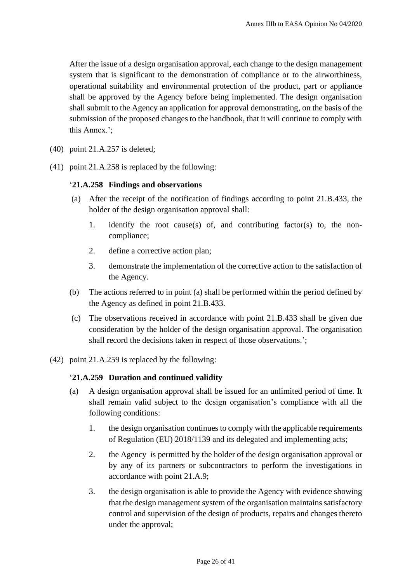After the issue of a design organisation approval, each change to the design management system that is significant to the demonstration of compliance or to the airworthiness, operational suitability and environmental protection of the product, part or appliance shall be approved by the Agency before being implemented. The design organisation shall submit to the Agency an application for approval demonstrating, on the basis of the submission of the proposed changes to the handbook, that it will continue to comply with this Annex.';

- (40) point 21.A.257 is deleted;
- (41) point 21.A.258 is replaced by the following:

#### '**21.A.258 Findings and observations**

- (a) After the receipt of the notification of findings according to point 21.B.433, the holder of the design organisation approval shall:
	- 1. identify the root cause(s) of, and contributing factor(s) to, the noncompliance;
	- 2. define a corrective action plan;
	- 3. demonstrate the implementation of the corrective action to the satisfaction of the Agency.
- (b) The actions referred to in point (a) shall be performed within the period defined by the Agency as defined in point 21.B.433.
- (c) The observations received in accordance with point 21.B.433 shall be given due consideration by the holder of the design organisation approval. The organisation shall record the decisions taken in respect of those observations.';
- (42) point 21.A.259 is replaced by the following:

### '**21.A.259 Duration and continued validity**

- (a) A design organisation approval shall be issued for an unlimited period of time. It shall remain valid subject to the design organisation's compliance with all the following conditions:
	- 1. the design organisation continues to comply with the applicable requirements of Regulation (EU) 2018/1139 and its delegated and implementing acts;
	- 2. the Agency is permitted by the holder of the design organisation approval or by any of its partners or subcontractors to perform the investigations in accordance with point 21.A.9;
	- 3. the design organisation is able to provide the Agency with evidence showing that the design management system of the organisation maintains satisfactory control and supervision of the design of products, repairs and changes thereto under the approval;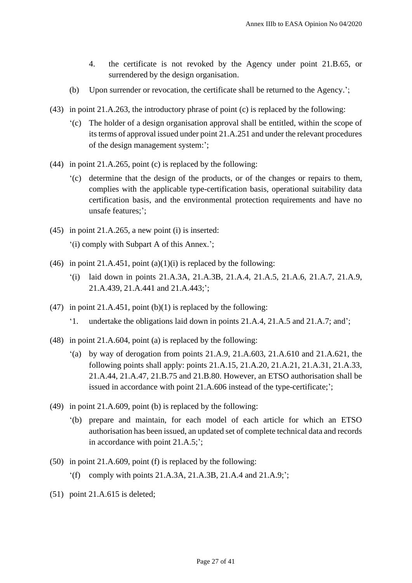- 4. the certificate is not revoked by the Agency under point 21.B.65, or surrendered by the design organisation.
- (b) Upon surrender or revocation, the certificate shall be returned to the Agency.';
- (43) in point 21.A.263, the introductory phrase of point (c) is replaced by the following:
	- '(c) The holder of a design organisation approval shall be entitled, within the scope of its terms of approval issued under point 21.A.251 and under the relevant procedures of the design management system:';
- (44) in point 21.A.265, point (c) is replaced by the following:
	- '(c) determine that the design of the products, or of the changes or repairs to them, complies with the applicable type-certification basis, operational suitability data certification basis, and the environmental protection requirements and have no unsafe features;';
- (45) in point 21.A.265, a new point (i) is inserted: '(i) comply with Subpart A of this Annex.';
- (46) in point 21.A.451, point  $(a)(1)(i)$  is replaced by the following:
	- '(i) laid down in points 21.A.3A, 21.A.3B, 21.A.4, 21.A.5, 21.A.6, 21.A.7, 21.A.9, 21.A.439, 21.A.441 and 21.A.443;';
- (47) in point 21.A.451, point  $(b)(1)$  is replaced by the following:
	- '1. undertake the obligations laid down in points 21.A.4, 21.A.5 and 21.A.7; and';
- (48) in point 21.A.604, point (a) is replaced by the following:
	- '(a) by way of derogation from points 21.A.9, 21.A.603, 21.A.610 and 21.A.621, the following points shall apply: points 21.A.15, 21.A.20, 21.A.21, 21.A.31, 21.A.33, 21.A.44, 21.A.47, 21.B.75 and 21.B.80. However, an ETSO authorisation shall be issued in accordance with point 21.A.606 instead of the type-certificate;';
- (49) in point 21.A.609, point (b) is replaced by the following:
	- '(b) prepare and maintain, for each model of each article for which an ETSO authorisation has been issued, an updated set of complete technical data and records in accordance with point 21.A.5;';
- (50) in point 21.A.609, point (f) is replaced by the following:
	- '(f) comply with points 21.A.3A, 21.A.3B, 21.A.4 and 21.A.9;';
- (51) point 21.A.615 is deleted;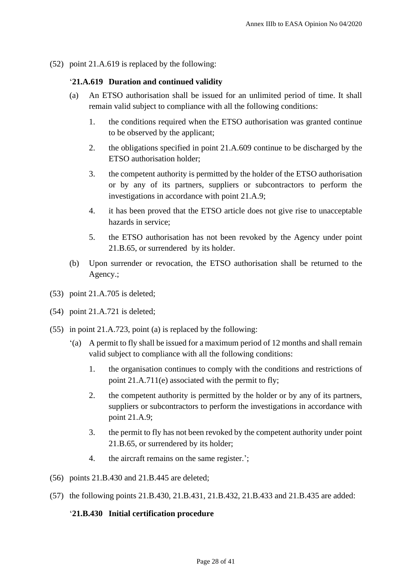(52) point 21.A.619 is replaced by the following:

# '**21.A.619 Duration and continued validity**

- (a) An ETSO authorisation shall be issued for an unlimited period of time. It shall remain valid subject to compliance with all the following conditions:
	- 1. the conditions required when the ETSO authorisation was granted continue to be observed by the applicant;
	- 2. the obligations specified in point 21.A.609 continue to be discharged by the ETSO authorisation holder;
	- 3. the competent authority is permitted by the holder of the ETSO authorisation or by any of its partners, suppliers or subcontractors to perform the investigations in accordance with point 21.A.9;
	- 4. it has been proved that the ETSO article does not give rise to unacceptable hazards in service;
	- 5. the ETSO authorisation has not been revoked by the Agency under point 21.B.65, or surrendered by its holder.
- (b) Upon surrender or revocation, the ETSO authorisation shall be returned to the Agency.;
- (53) point 21.A.705 is deleted;
- (54) point 21.A.721 is deleted;
- (55) in point 21.A.723, point (a) is replaced by the following:
	- '(a) A permit to fly shall be issued for a maximum period of 12 months and shall remain valid subject to compliance with all the following conditions:
		- 1. the organisation continues to comply with the conditions and restrictions of point 21.A.711(e) associated with the permit to fly;
		- 2. the competent authority is permitted by the holder or by any of its partners, suppliers or subcontractors to perform the investigations in accordance with point 21.A.9;
		- 3. the permit to fly has not been revoked by the competent authority under point 21.B.65, or surrendered by its holder;
		- 4. the aircraft remains on the same register.';
- (56) points 21.B.430 and 21.B.445 are deleted;
- (57) the following points 21.B.430, 21.B.431, 21.B.432, 21.B.433 and 21.B.435 are added:

### '**21.B.430 Initial certification procedure**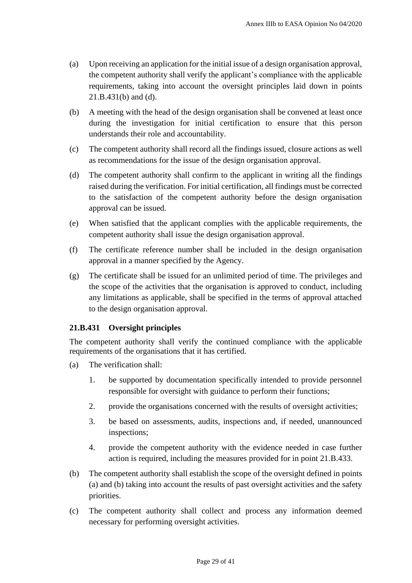- (a) Upon receiving an application for the initial issue of a design organisation approval, the competent authority shall verify the applicant's compliance with the applicable requirements, taking into account the oversight principles laid down in points 21.B.431(b) and (d).
- (b) A meeting with the head of the design organisation shall be convened at least once during the investigation for initial certification to ensure that this person understands their role and accountability.
- (c) The competent authority shall record all the findings issued, closure actions as well as recommendations for the issue of the design organisation approval.
- (d) The competent authority shall confirm to the applicant in writing all the findings raised during the verification. For initial certification, all findings must be corrected to the satisfaction of the competent authority before the design organisation approval can be issued.
- (e) When satisfied that the applicant complies with the applicable requirements, the competent authority shall issue the design organisation approval.
- (f) The certificate reference number shall be included in the design organisation approval in a manner specified by the Agency.
- (g) The certificate shall be issued for an unlimited period of time. The privileges and the scope of the activities that the organisation is approved to conduct, including any limitations as applicable, shall be specified in the terms of approval attached to the design organisation approval.

# **21.B.431 Oversight principles**

The competent authority shall verify the continued compliance with the applicable requirements of the organisations that it has certified.

- (a) The verification shall:
	- 1. be supported by documentation specifically intended to provide personnel responsible for oversight with guidance to perform their functions;
	- 2. provide the organisations concerned with the results of oversight activities;
	- 3. be based on assessments, audits, inspections and, if needed, unannounced inspections;
	- 4. provide the competent authority with the evidence needed in case further action is required, including the measures provided for in point 21.B.433.
- (b) The competent authority shall establish the scope of the oversight defined in points (a) and (b) taking into account the results of past oversight activities and the safety priorities.
- (c) The competent authority shall collect and process any information deemed necessary for performing oversight activities.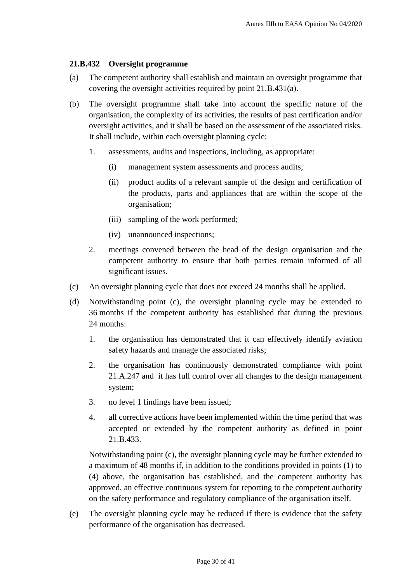## **21.B.432 Oversight programme**

- (a) The competent authority shall establish and maintain an oversight programme that covering the oversight activities required by point 21.B.431(a).
- (b) The oversight programme shall take into account the specific nature of the organisation, the complexity of its activities, the results of past certification and/or oversight activities, and it shall be based on the assessment of the associated risks. It shall include, within each oversight planning cycle:
	- 1. assessments, audits and inspections, including, as appropriate:
		- (i) management system assessments and process audits;
		- (ii) product audits of a relevant sample of the design and certification of the products, parts and appliances that are within the scope of the organisation;
		- (iii) sampling of the work performed;
		- (iv) unannounced inspections;
	- 2. meetings convened between the head of the design organisation and the competent authority to ensure that both parties remain informed of all significant issues.
- (c) An oversight planning cycle that does not exceed 24 months shall be applied.
- (d) Notwithstanding point (c), the oversight planning cycle may be extended to 36 months if the competent authority has established that during the previous 24 months:
	- 1. the organisation has demonstrated that it can effectively identify aviation safety hazards and manage the associated risks;
	- 2. the organisation has continuously demonstrated compliance with point 21.A.247 and it has full control over all changes to the design management system;
	- 3. no level 1 findings have been issued;
	- 4. all corrective actions have been implemented within the time period that was accepted or extended by the competent authority as defined in point 21.B.433.

Notwithstanding point (c), the oversight planning cycle may be further extended to a maximum of 48 months if, in addition to the conditions provided in points (1) to (4) above, the organisation has established, and the competent authority has approved, an effective continuous system for reporting to the competent authority on the safety performance and regulatory compliance of the organisation itself.

(e) The oversight planning cycle may be reduced if there is evidence that the safety performance of the organisation has decreased.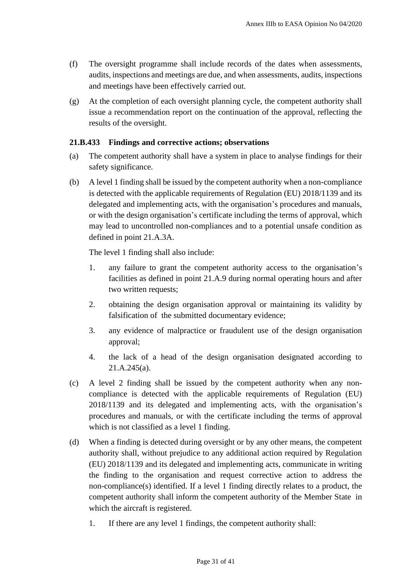- (f) The oversight programme shall include records of the dates when assessments, audits, inspections and meetings are due, and when assessments, audits, inspections and meetings have been effectively carried out.
- (g) At the completion of each oversight planning cycle, the competent authority shall issue a recommendation report on the continuation of the approval, reflecting the results of the oversight.

### **21.B.433 Findings and corrective actions; observations**

- (a) The competent authority shall have a system in place to analyse findings for their safety significance.
- (b) A level 1 finding shall be issued by the competent authority when a non-compliance is detected with the applicable requirements of Regulation (EU) 2018/1139 and its delegated and implementing acts, with the organisation's procedures and manuals, or with the design organisation's certificate including the terms of approval, which may lead to uncontrolled non-compliances and to a potential unsafe condition as defined in point 21.A.3A.

The level 1 finding shall also include:

- 1. any failure to grant the competent authority access to the organisation's facilities as defined in point 21.A.9 during normal operating hours and after two written requests;
- 2. obtaining the design organisation approval or maintaining its validity by falsification of the submitted documentary evidence;
- 3. any evidence of malpractice or fraudulent use of the design organisation approval;
- 4. the lack of a head of the design organisation designated according to 21.A.245(a).
- (c) A level 2 finding shall be issued by the competent authority when any noncompliance is detected with the applicable requirements of Regulation (EU) 2018/1139 and its delegated and implementing acts, with the organisation's procedures and manuals, or with the certificate including the terms of approval which is not classified as a level 1 finding.
- (d) When a finding is detected during oversight or by any other means, the competent authority shall, without prejudice to any additional action required by Regulation (EU) 2018/1139 and its delegated and implementing acts, communicate in writing the finding to the organisation and request corrective action to address the non-compliance(s) identified. If a level 1 finding directly relates to a product, the competent authority shall inform the competent authority of the Member State in which the aircraft is registered.
	- 1. If there are any level 1 findings, the competent authority shall: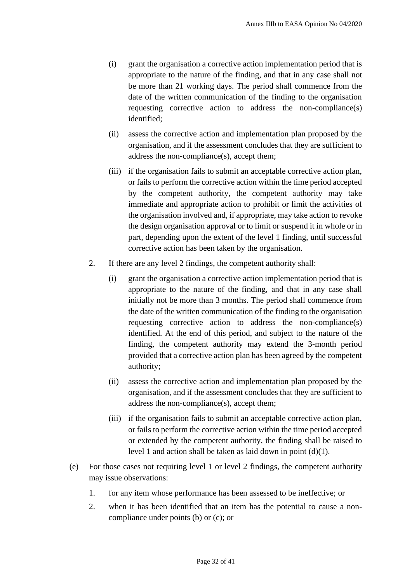- (i) grant the organisation a corrective action implementation period that is appropriate to the nature of the finding, and that in any case shall not be more than 21 working days. The period shall commence from the date of the written communication of the finding to the organisation requesting corrective action to address the non-compliance(s) identified;
- (ii) assess the corrective action and implementation plan proposed by the organisation, and if the assessment concludes that they are sufficient to address the non-compliance(s), accept them;
- (iii) if the organisation fails to submit an acceptable corrective action plan, or fails to perform the corrective action within the time period accepted by the competent authority, the competent authority may take immediate and appropriate action to prohibit or limit the activities of the organisation involved and, if appropriate, may take action to revoke the design organisation approval or to limit or suspend it in whole or in part, depending upon the extent of the level 1 finding, until successful corrective action has been taken by the organisation.
- 2. If there are any level 2 findings, the competent authority shall:
	- (i) grant the organisation a corrective action implementation period that is appropriate to the nature of the finding, and that in any case shall initially not be more than 3 months. The period shall commence from the date of the written communication of the finding to the organisation requesting corrective action to address the non-compliance(s) identified. At the end of this period, and subject to the nature of the finding, the competent authority may extend the 3-month period provided that a corrective action plan has been agreed by the competent authority;
	- (ii) assess the corrective action and implementation plan proposed by the organisation, and if the assessment concludes that they are sufficient to address the non-compliance(s), accept them;
	- (iii) if the organisation fails to submit an acceptable corrective action plan, or fails to perform the corrective action within the time period accepted or extended by the competent authority, the finding shall be raised to level 1 and action shall be taken as laid down in point (d)(1).
- (e) For those cases not requiring level 1 or level 2 findings, the competent authority may issue observations:
	- 1. for any item whose performance has been assessed to be ineffective; or
	- 2. when it has been identified that an item has the potential to cause a noncompliance under points (b) or (c); or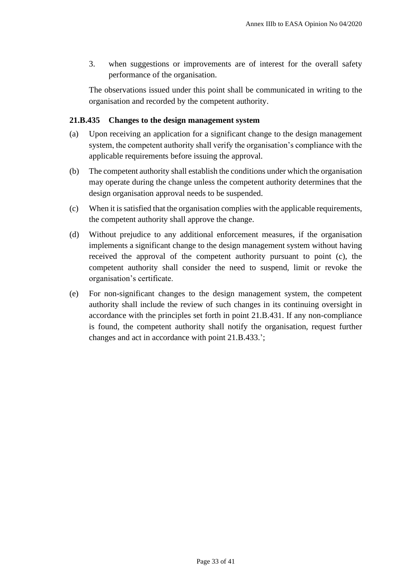3. when suggestions or improvements are of interest for the overall safety performance of the organisation.

The observations issued under this point shall be communicated in writing to the organisation and recorded by the competent authority.

### **21.B.435 Changes to the design management system**

- (a) Upon receiving an application for a significant change to the design management system, the competent authority shall verify the organisation's compliance with the applicable requirements before issuing the approval.
- (b) The competent authority shall establish the conditions under which the organisation may operate during the change unless the competent authority determines that the design organisation approval needs to be suspended.
- (c) When it is satisfied that the organisation complies with the applicable requirements, the competent authority shall approve the change.
- (d) Without prejudice to any additional enforcement measures, if the organisation implements a significant change to the design management system without having received the approval of the competent authority pursuant to point (c), the competent authority shall consider the need to suspend, limit or revoke the organisation's certificate.
- (e) For non-significant changes to the design management system, the competent authority shall include the review of such changes in its continuing oversight in accordance with the principles set forth in point 21.B.431. If any non-compliance is found, the competent authority shall notify the organisation, request further changes and act in accordance with point 21.B.433.';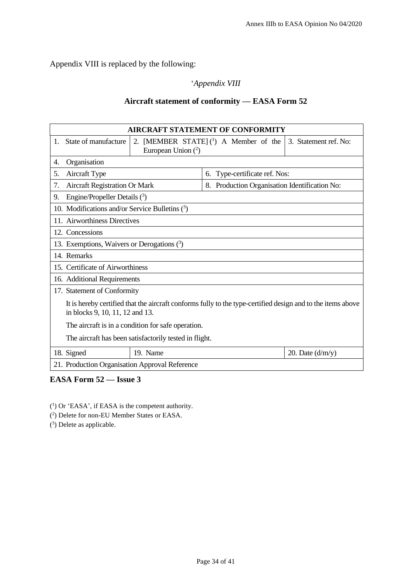Appendix VIII is replaced by the following:

# '*Appendix VIII*

# **Aircraft statement of conformity — EASA Form 52**

| <b>AIRCRAFT STATEMENT OF CONFORMITY</b>                                                                                                        |                                                                                           |                                               |                    |  |  |  |
|------------------------------------------------------------------------------------------------------------------------------------------------|-------------------------------------------------------------------------------------------|-----------------------------------------------|--------------------|--|--|--|
| State of manufacture<br>1.                                                                                                                     | 2. [MEMBER STATE] $(1)$ A Member of the<br>3. Statement ref. No:<br>European Union $(^2)$ |                                               |                    |  |  |  |
| Organisation<br>4.                                                                                                                             |                                                                                           |                                               |                    |  |  |  |
| Aircraft Type<br>5.                                                                                                                            |                                                                                           | 6. Type-certificate ref. Nos:                 |                    |  |  |  |
| <b>Aircraft Registration Or Mark</b><br>7.                                                                                                     |                                                                                           | 8. Production Organisation Identification No: |                    |  |  |  |
| Engine/Propeller Details $(3)$<br>9.                                                                                                           |                                                                                           |                                               |                    |  |  |  |
| 10. Modifications and/or Service Bulletins $(3)$                                                                                               |                                                                                           |                                               |                    |  |  |  |
| 11. Airworthiness Directives                                                                                                                   |                                                                                           |                                               |                    |  |  |  |
| 12. Concessions                                                                                                                                |                                                                                           |                                               |                    |  |  |  |
| 13. Exemptions, Waivers or Derogations $(3)$                                                                                                   |                                                                                           |                                               |                    |  |  |  |
| 14. Remarks                                                                                                                                    |                                                                                           |                                               |                    |  |  |  |
| 15. Certificate of Airworthiness                                                                                                               |                                                                                           |                                               |                    |  |  |  |
| 16. Additional Requirements                                                                                                                    |                                                                                           |                                               |                    |  |  |  |
| 17. Statement of Conformity                                                                                                                    |                                                                                           |                                               |                    |  |  |  |
| It is hereby certified that the aircraft conforms fully to the type-certified design and to the items above<br>in blocks 9, 10, 11, 12 and 13. |                                                                                           |                                               |                    |  |  |  |
| The aircraft is in a condition for safe operation.                                                                                             |                                                                                           |                                               |                    |  |  |  |
| The aircraft has been satisfactorily tested in flight.                                                                                         |                                                                                           |                                               |                    |  |  |  |
| 18. Signed                                                                                                                                     | 19. Name                                                                                  |                                               | 20. Date $(d/m/y)$ |  |  |  |
| 21. Production Organisation Approval Reference                                                                                                 |                                                                                           |                                               |                    |  |  |  |

# **EASA Form 52 — Issue 3**

( 1 ) Or 'EASA', if EASA is the competent authority.

( 2 ) Delete for non-EU Member States or EASA.

( 3 ) Delete as applicable.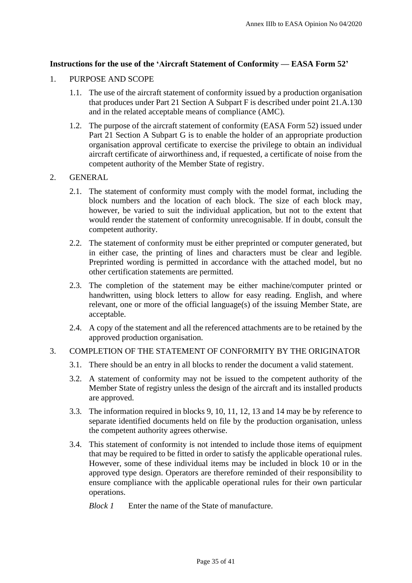### **Instructions for the use of the 'Aircraft Statement of Conformity — EASA Form 52'**

#### 1. PURPOSE AND SCOPE

- 1.1. The use of the aircraft statement of conformity issued by a production organisation that produces under Part 21 Section A Subpart F is described under point 21.A.130 and in the related acceptable means of compliance (AMC).
- 1.2. The purpose of the aircraft statement of conformity (EASA Form 52) issued under Part 21 Section A Subpart G is to enable the holder of an appropriate production organisation approval certificate to exercise the privilege to obtain an individual aircraft certificate of airworthiness and, if requested, a certificate of noise from the competent authority of the Member State of registry.

#### 2. GENERAL

- 2.1. The statement of conformity must comply with the model format, including the block numbers and the location of each block. The size of each block may, however, be varied to suit the individual application, but not to the extent that would render the statement of conformity unrecognisable. If in doubt, consult the competent authority.
- 2.2. The statement of conformity must be either preprinted or computer generated, but in either case, the printing of lines and characters must be clear and legible. Preprinted wording is permitted in accordance with the attached model, but no other certification statements are permitted.
- 2.3. The completion of the statement may be either machine/computer printed or handwritten, using block letters to allow for easy reading. English, and where relevant, one or more of the official language(s) of the issuing Member State, are acceptable.
- 2.4. A copy of the statement and all the referenced attachments are to be retained by the approved production organisation.

### 3. COMPLETION OF THE STATEMENT OF CONFORMITY BY THE ORIGINATOR

- 3.1. There should be an entry in all blocks to render the document a valid statement.
- 3.2. A statement of conformity may not be issued to the competent authority of the Member State of registry unless the design of the aircraft and its installed products are approved.
- 3.3. The information required in blocks 9, 10, 11, 12, 13 and 14 may be by reference to separate identified documents held on file by the production organisation, unless the competent authority agrees otherwise.
- 3.4. This statement of conformity is not intended to include those items of equipment that may be required to be fitted in order to satisfy the applicable operational rules. However, some of these individual items may be included in block 10 or in the approved type design. Operators are therefore reminded of their responsibility to ensure compliance with the applicable operational rules for their own particular operations.

*Block 1* Enter the name of the State of manufacture.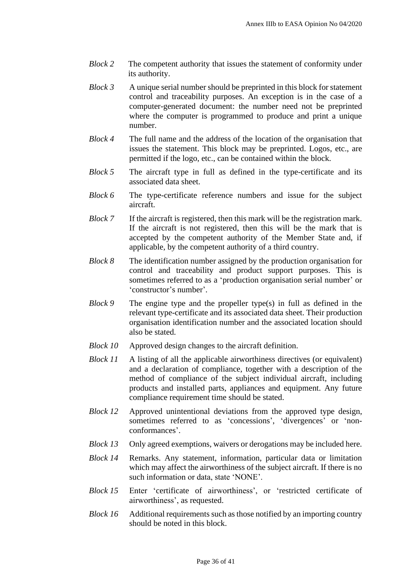- *Block 2* The competent authority that issues the statement of conformity under its authority.
- *Block 3* A unique serial number should be preprinted in this block for statement control and traceability purposes. An exception is in the case of a computer-generated document: the number need not be preprinted where the computer is programmed to produce and print a unique number.
- *Block 4* The full name and the address of the location of the organisation that issues the statement. This block may be preprinted. Logos, etc., are permitted if the logo, etc., can be contained within the block.
- *Block 5* The aircraft type in full as defined in the type-certificate and its associated data sheet.
- *Block 6* The type-certificate reference numbers and issue for the subject aircraft.
- *Block* 7 If the aircraft is registered, then this mark will be the registration mark. If the aircraft is not registered, then this will be the mark that is accepted by the competent authority of the Member State and, if applicable, by the competent authority of a third country.
- *Block 8* The identification number assigned by the production organisation for control and traceability and product support purposes. This is sometimes referred to as a 'production organisation serial number' or 'constructor's number'.
- *Block 9* The engine type and the propeller type(s) in full as defined in the relevant type-certificate and its associated data sheet. Their production organisation identification number and the associated location should also be stated.
- *Block 10* Approved design changes to the aircraft definition.
- *Block 11* A listing of all the applicable airworthiness directives (or equivalent) and a declaration of compliance, together with a description of the method of compliance of the subject individual aircraft, including products and installed parts, appliances and equipment. Any future compliance requirement time should be stated.
- *Block 12* Approved unintentional deviations from the approved type design, sometimes referred to as 'concessions', 'divergences' or 'nonconformances'.
- *Block 13* Only agreed exemptions, waivers or derogations may be included here.
- *Block 14* Remarks. Any statement, information, particular data or limitation which may affect the airworthiness of the subject aircraft. If there is no such information or data, state 'NONE'.
- *Block 15* Enter 'certificate of airworthiness', or 'restricted certificate of airworthiness', as requested.
- *Block 16* Additional requirements such as those notified by an importing country should be noted in this block.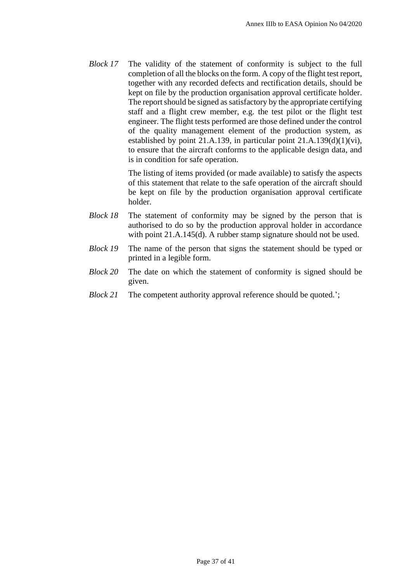*Block 17* The validity of the statement of conformity is subject to the full completion of all the blocks on the form. A copy of the flight test report, together with any recorded defects and rectification details, should be kept on file by the production organisation approval certificate holder. The report should be signed as satisfactory by the appropriate certifying staff and a flight crew member, e.g. the test pilot or the flight test engineer. The flight tests performed are those defined under the control of the quality management element of the production system, as established by point 21.A.139, in particular point  $21.A.139(d)(1)(vi)$ , to ensure that the aircraft conforms to the applicable design data, and is in condition for safe operation.

> The listing of items provided (or made available) to satisfy the aspects of this statement that relate to the safe operation of the aircraft should be kept on file by the production organisation approval certificate holder.

- *Block 18* The statement of conformity may be signed by the person that is authorised to do so by the production approval holder in accordance with point 21.A.145(d). A rubber stamp signature should not be used.
- *Block 19* The name of the person that signs the statement should be typed or printed in a legible form.
- *Block 20* The date on which the statement of conformity is signed should be given.
- *Block 21* The competent authority approval reference should be quoted.';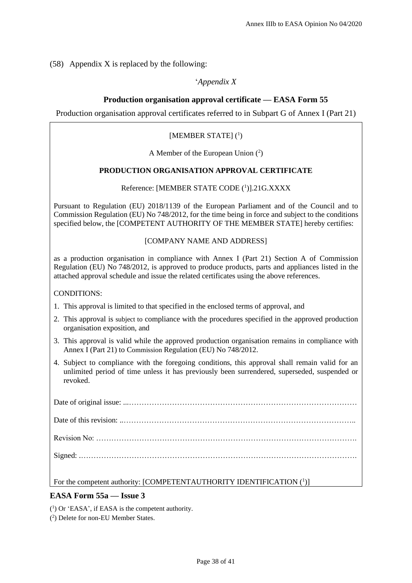(58) Appendix X is replaced by the following:

#### '*Appendix X*

#### **Production organisation approval certificate — EASA Form 55**

Production organisation approval certificates referred to in Subpart G of Annex I (Part 21)

#### [MEMBER STATE] (1)

A Member of the European Union ( 2 )

#### **PRODUCTION ORGANISATION APPROVAL CERTIFICATE**

#### Reference: [MEMBER STATE CODE<sup>(1</sup>)].21G.XXXX

Pursuant to Regulation (EU) 2018/1139 of the European Parliament and of the Council and to Commission Regulation (EU) No 748/2012, for the time being in force and subject to the conditions specified below, the [COMPETENT AUTHORITY OF THE MEMBER STATE] hereby certifies:

#### [COMPANY NAME AND ADDRESS]

as a production organisation in compliance with Annex I (Part 21) Section A of Commission Regulation (EU) No 748/2012, is approved to produce products, parts and appliances listed in the attached approval schedule and issue the related certificates using the above references.

CONDITIONS:

- 1. This approval is limited to that specified in the enclosed terms of approval, and
- 2. This approval is subject to compliance with the procedures specified in the approved production organisation exposition, and
- 3. This approval is valid while the approved production organisation remains in compliance with Annex I (Part 21) to Commission Regulation (EU) No 748/2012.
- 4. Subject to compliance with the foregoing conditions, this approval shall remain valid for an unlimited period of time unless it has previously been surrendered, superseded, suspended or revoked.

| For the competent authority: [COMPETENTAUTHORITY IDENTIFICATION (1)] |
|----------------------------------------------------------------------|

### **EASA Form 55a — Issue 3**

( 1 ) Or 'EASA', if EASA is the competent authority.

( 2 ) Delete for non-EU Member States.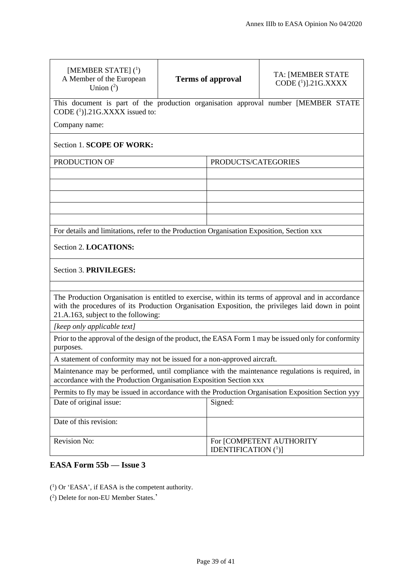| [MEMBER STATE] $(^1)$<br>A Member of the European<br>Union $(^2)$                                                                                                                                                                              |  | <b>Terms of approval</b>                                       | TA: [MEMBER STATE<br>CODE $(^1)$ ].21G.XXXX |  |  |  |
|------------------------------------------------------------------------------------------------------------------------------------------------------------------------------------------------------------------------------------------------|--|----------------------------------------------------------------|---------------------------------------------|--|--|--|
| This document is part of the production organisation approval number [MEMBER STATE<br>CODE (1)].21G.XXXX issued to:                                                                                                                            |  |                                                                |                                             |  |  |  |
| Company name:                                                                                                                                                                                                                                  |  |                                                                |                                             |  |  |  |
| Section 1. SCOPE OF WORK:                                                                                                                                                                                                                      |  |                                                                |                                             |  |  |  |
| PRODUCTION OF                                                                                                                                                                                                                                  |  | PRODUCTS/CATEGORIES                                            |                                             |  |  |  |
|                                                                                                                                                                                                                                                |  |                                                                |                                             |  |  |  |
|                                                                                                                                                                                                                                                |  |                                                                |                                             |  |  |  |
|                                                                                                                                                                                                                                                |  |                                                                |                                             |  |  |  |
|                                                                                                                                                                                                                                                |  |                                                                |                                             |  |  |  |
| For details and limitations, refer to the Production Organisation Exposition, Section xxx                                                                                                                                                      |  |                                                                |                                             |  |  |  |
| Section 2. LOCATIONS:                                                                                                                                                                                                                          |  |                                                                |                                             |  |  |  |
| Section 3. PRIVILEGES:                                                                                                                                                                                                                         |  |                                                                |                                             |  |  |  |
|                                                                                                                                                                                                                                                |  |                                                                |                                             |  |  |  |
| The Production Organisation is entitled to exercise, within its terms of approval and in accordance<br>with the procedures of its Production Organisation Exposition, the privileges laid down in point<br>21.A.163, subject to the following: |  |                                                                |                                             |  |  |  |
| [keep only applicable text]                                                                                                                                                                                                                    |  |                                                                |                                             |  |  |  |
| Prior to the approval of the design of the product, the EASA Form 1 may be issued only for conformity<br>purposes.                                                                                                                             |  |                                                                |                                             |  |  |  |
| A statement of conformity may not be issued for a non-approved aircraft.                                                                                                                                                                       |  |                                                                |                                             |  |  |  |
| Maintenance may be performed, until compliance with the maintenance regulations is required, in<br>accordance with the Production Organisation Exposition Section xxx                                                                          |  |                                                                |                                             |  |  |  |
| Permits to fly may be issued in accordance with the Production Organisation Exposition Section yyy                                                                                                                                             |  |                                                                |                                             |  |  |  |
| Date of original issue:                                                                                                                                                                                                                        |  | Signed:                                                        |                                             |  |  |  |
| Date of this revision:                                                                                                                                                                                                                         |  |                                                                |                                             |  |  |  |
| Revision No:                                                                                                                                                                                                                                   |  | For [COMPETENT AUTHORITY<br><b>IDENTIFICATION</b> $({}^{1})$ ] |                                             |  |  |  |

# **EASA Form 55b — Issue 3**

( 1 ) Or 'EASA', if EASA is the competent authority.

( 2 ) Delete for non-EU Member States.'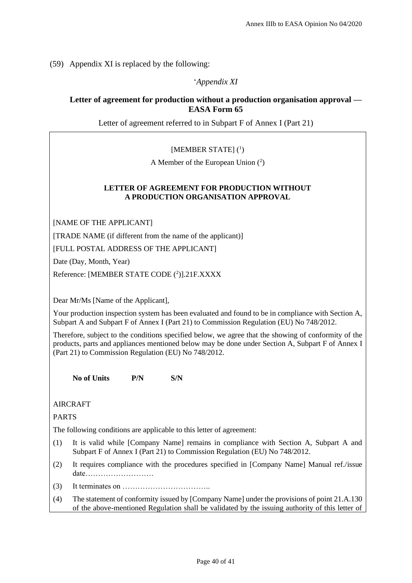(59) Appendix XI is replaced by the following:

'*Appendix XI*

# **Letter of agreement for production without a production organisation approval — EASA Form 65**

Letter of agreement referred to in Subpart F of Annex I (Part 21)

[MEMBER STATE] (1)

A Member of the European Union  $(2)$ 

#### **LETTER OF AGREEMENT FOR PRODUCTION WITHOUT A PRODUCTION ORGANISATION APPROVAL**

[NAME OF THE APPLICANT]

[TRADE NAME (if different from the name of the applicant)]

[FULL POSTAL ADDRESS OF THE APPLICANT]

Date (Day, Month, Year)

Reference: [MEMBER STATE CODE (2)].21F.XXXX

Dear Mr/Ms [Name of the Applicant],

Your production inspection system has been evaluated and found to be in compliance with Section A, Subpart A and Subpart F of Annex I (Part 21) to Commission Regulation (EU) No 748/2012.

Therefore, subject to the conditions specified below, we agree that the showing of conformity of the products, parts and appliances mentioned below may be done under Section A, Subpart F of Annex I (Part 21) to Commission Regulation (EU) No 748/2012.

**No of Units P/N S/N**

AIRCRAFT

PARTS

The following conditions are applicable to this letter of agreement:

- (1) It is valid while [Company Name] remains in compliance with Section A, Subpart A and Subpart F of Annex I (Part 21) to Commission Regulation (EU) No 748/2012.
- (2) It requires compliance with the procedures specified in [Company Name] Manual ref./issue date………………………
- $(3)$  It terminates on  $\dots$   $\dots$   $\dots$   $\dots$   $\dots$
- (4) The statement of conformity issued by [Company Name] under the provisions of point 21.A.130 of the above-mentioned Regulation shall be validated by the issuing authority of this letter of